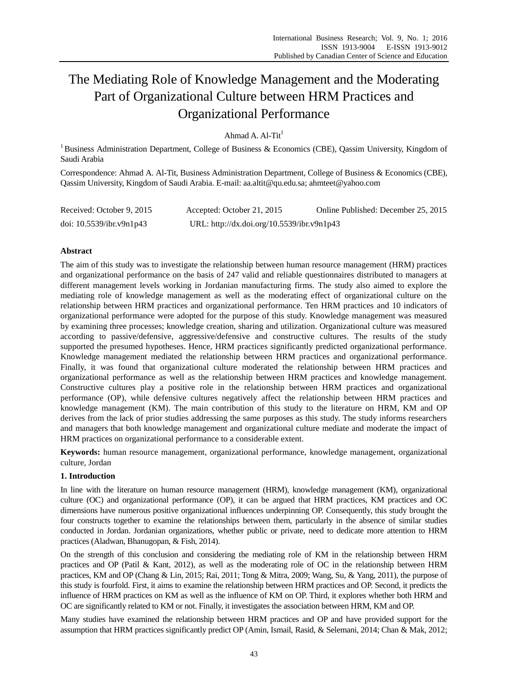# The Mediating Role of Knowledge Management and the Moderating Part of Organizational Culture between HRM Practices and Organizational Performance

Ahmad A.  $Al-Tit<sup>1</sup>$ 

<sup>1</sup> Business Administration Department, College of Business & Economics (CBE), Qassim University, Kingdom of Saudi Arabia

Correspondence: Ahmad A. Al-Tit, Business Administration Department, College of Business & Economics (CBE), Qassim University, Kingdom of Saudi Arabia. E-mail: aa.altit@qu.edu.sa; ahmteet@yahoo.com

| Received: October 9, 2015   | Accepted: October 21, 2015                 | Online Published: December 25, 2015 |
|-----------------------------|--------------------------------------------|-------------------------------------|
| doi: $10.5539$ /ibr.v9n1p43 | URL: http://dx.doi.org/10.5539/ibr.v9n1p43 |                                     |

# **Abstract**

The aim of this study was to investigate the relationship between human resource management (HRM) practices and organizational performance on the basis of 247 valid and reliable questionnaires distributed to managers at different management levels working in Jordanian manufacturing firms. The study also aimed to explore the mediating role of knowledge management as well as the moderating effect of organizational culture on the relationship between HRM practices and organizational performance. Ten HRM practices and 10 indicators of organizational performance were adopted for the purpose of this study. Knowledge management was measured by examining three processes; knowledge creation, sharing and utilization. Organizational culture was measured according to passive/defensive, aggressive/defensive and constructive cultures. The results of the study supported the presumed hypotheses. Hence, HRM practices significantly predicted organizational performance. Knowledge management mediated the relationship between HRM practices and organizational performance. Finally, it was found that organizational culture moderated the relationship between HRM practices and organizational performance as well as the relationship between HRM practices and knowledge management. Constructive cultures play a positive role in the relationship between HRM practices and organizational performance (OP), while defensive cultures negatively affect the relationship between HRM practices and knowledge management (KM). The main contribution of this study to the literature on HRM, KM and OP derives from the lack of prior studies addressing the same purposes as this study. The study informs researchers and managers that both knowledge management and organizational culture mediate and moderate the impact of HRM practices on organizational performance to a considerable extent.

**Keywords:** human resource management, organizational performance, knowledge management, organizational culture, Jordan

# **1. Introduction**

In line with the literature on human resource management (HRM), knowledge management (KM), organizational culture (OC) and organizational performance (OP), it can be argued that HRM practices, KM practices and OC dimensions have numerous positive organizational influences underpinning OP. Consequently, this study brought the four constructs together to examine the relationships between them, particularly in the absence of similar studies conducted in Jordan. Jordanian organizations, whether public or private, need to dedicate more attention to HRM practices (Aladwan, Bhanugopan, & Fish, 2014).

On the strength of this conclusion and considering the mediating role of KM in the relationship between HRM practices and OP (Patil & Kant, 2012), as well as the moderating role of OC in the relationship between HRM practices, KM and OP (Chang & Lin, 2015; Rai, 2011; Tong & Mitra, 2009; Wang, Su, & Yang, 2011), the purpose of this study is fourfold. First, it aims to examine the relationship between HRM practices and OP. Second, it predicts the influence of HRM practices on KM as well as the influence of KM on OP. Third, it explores whether both HRM and OC are significantly related to KM or not. Finally, it investigates the association between HRM, KM and OP.

Many studies have examined the relationship between HRM practices and OP and have provided support for the assumption that HRM practices significantly predict OP (Amin, Ismail, Rasid, & Selemani, 2014; Chan & Mak, 2012;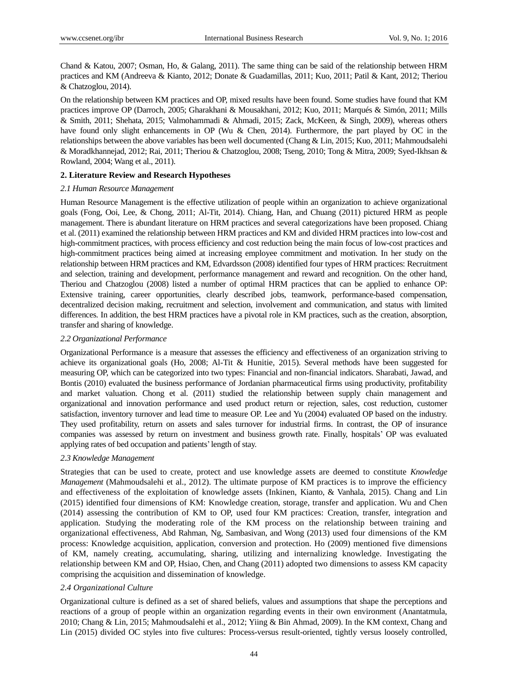Chand & Katou, 2007; Osman, Ho, & Galang, 2011). The same thing can be said of the relationship between HRM practices and KM (Andreeva & Kianto, 2012; Donate & Guadamillas, 2011; Kuo, 2011; Patil & Kant, 2012; Theriou & Chatzoglou, 2014).

On the relationship between KM practices and OP, mixed results have been found. Some studies have found that KM practices improve OP (Darroch, 2005; Gharakhani & Mousakhani, 2012; Kuo, 2011; Marqués & Simón, 2011; Mills & Smith, 2011; Shehata, 2015; Valmohammadi & Ahmadi, 2015; Zack, McKeen, & Singh, 2009), whereas others have found only slight enhancements in OP (Wu & Chen, 2014). Furthermore, the part played by OC in the relationships between the above variables has been well documented (Chang & Lin, 2015; Kuo, 2011; Mahmoudsalehi & Moradkhannejad, 2012; Rai, 2011; Theriou & Chatzoglou, 2008; Tseng, 2010; Tong & Mitra, 2009; Syed-Ikhsan & Rowland, 2004; Wang et al., 2011).

# **2. Literature Review and Research Hypotheses**

# *2.1 Human Resource Management*

Human Resource Management is the effective utilization of people within an organization to achieve organizational goals (Fong, Ooi, Lee, & Chong, 2011; Al-Tit, 2014). Chiang, Han, and Chuang (2011) pictured HRM as people management. There is abundant literature on HRM practices and several categorizations have been proposed. Chiang et al. (2011) examined the relationship between HRM practices and KM and divided HRM practices into low-cost and high-commitment practices, with process efficiency and cost reduction being the main focus of low-cost practices and high-commitment practices being aimed at increasing employee commitment and motivation. In her study on the relationship between HRM practices and KM, Edvardsson (2008) identified four types of HRM practices: Recruitment and selection, training and development, performance management and reward and recognition. On the other hand, Theriou and Chatzoglou (2008) listed a number of optimal HRM practices that can be applied to enhance OP: Extensive training, career opportunities, clearly described jobs, teamwork, performance-based compensation, decentralized decision making, recruitment and selection, involvement and communication, and status with limited differences. In addition, the best HRM practices have a pivotal role in KM practices, such as the creation, absorption, transfer and sharing of knowledge.

# *2.2 Organizational Performance*

Organizational Performance is a measure that assesses the efficiency and effectiveness of an organization striving to achieve its organizational goals (Ho, 2008; Al-Tit & Hunitie, 2015). Several methods have been suggested for measuring OP, which can be categorized into two types: Financial and non-financial indicators. Sharabati, Jawad, and Bontis (2010) evaluated the business performance of Jordanian pharmaceutical firms using productivity, profitability and market valuation. Chong et al. (2011) studied the relationship between supply chain management and organizational and innovation performance and used product return or rejection, sales, cost reduction, customer satisfaction, inventory turnover and lead time to measure OP. Lee and Yu (2004) evaluated OP based on the industry. They used profitability, return on assets and sales turnover for industrial firms. In contrast, the OP of insurance companies was assessed by return on investment and business growth rate. Finally, hospitals' OP was evaluated applying rates of bed occupation and patients'length of stay.

# *2.3 Knowledge Management*

Strategies that can be used to create, protect and use knowledge assets are deemed to constitute *Knowledge Management* (Mahmoudsalehi et al., 2012). The ultimate purpose of KM practices is to improve the efficiency and effectiveness of the exploitation of knowledge assets (Inkinen, Kianto, & Vanhala, 2015). Chang and Lin (2015) identified four dimensions of KM: Knowledge creation, storage, transfer and application. Wu and Chen (2014) assessing the contribution of KM to OP, used four KM practices: Creation, transfer, integration and application. Studying the moderating role of the KM process on the relationship between training and organizational effectiveness, Abd Rahman, Ng, Sambasivan, and Wong (2013) used four dimensions of the KM process: Knowledge acquisition, application, conversion and protection. Ho (2009) mentioned five dimensions of KM, namely creating, accumulating, sharing, utilizing and internalizing knowledge. Investigating the relationship between KM and OP, Hsiao, Chen, and Chang (2011) adopted two dimensions to assess KM capacity comprising the acquisition and dissemination of knowledge.

# *2.4 Organizational Culture*

Organizational culture is defined as a set of shared beliefs, values and assumptions that shape the perceptions and reactions of a group of people within an organization regarding events in their own environment (Anantatmula, 2010; Chang & Lin, 2015; Mahmoudsalehi et al., 2012; Yiing & Bin Ahmad, 2009). In the KM context, Chang and Lin (2015) divided OC styles into five cultures: Process-versus result-oriented, tightly versus loosely controlled,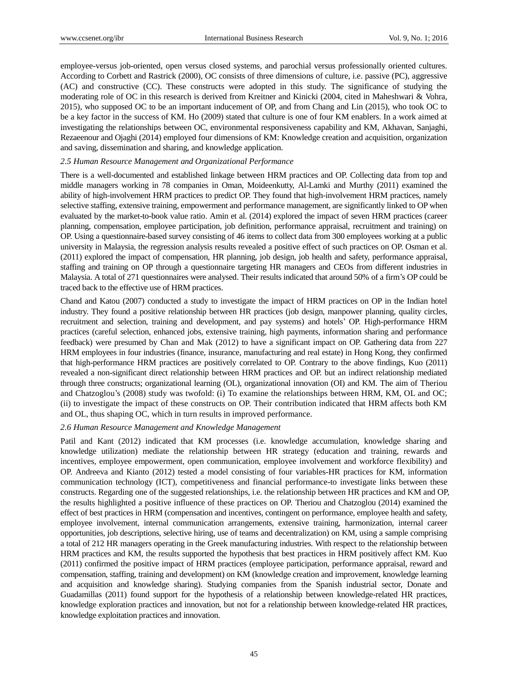employee-versus job-oriented, open versus closed systems, and parochial versus professionally oriented cultures. According to Corbett and Rastrick (2000), OC consists of three dimensions of culture, i.e. passive (PC), aggressive (AC) and constructive (CC). These constructs were adopted in this study. The significance of studying the moderating role of OC in this research is derived from Kreitner and Kinicki (2004, cited in Maheshwari & Vohra, 2015), who supposed OC to be an important inducement of OP, and from Chang and Lin (2015), who took OC to be a key factor in the success of KM. Ho (2009) stated that culture is one of four KM enablers. In a work aimed at investigating the relationships between OC, environmental responsiveness capability and KM, Akhavan, Sanjaghi, Rezaeenour and Ojaghi (2014) employed four dimensions of KM: Knowledge creation and acquisition, organization and saving, dissemination and sharing, and knowledge application.

## *2.5 Human Resource Management and Organizational Performance*

There is a well-documented and established linkage between HRM practices and OP. Collecting data from top and middle managers working in 78 companies in Oman, Moideenkutty, Al-Lamki and Murthy (2011) examined the ability of high-involvement HRM practices to predict OP. They found that high-involvement HRM practices, namely selective staffing, extensive training, empowerment and performance management, are significantly linked to OP when evaluated by the market-to-book value ratio. Amin et al. (2014) explored the impact of seven HRM practices (career planning, compensation, employee participation, job definition, performance appraisal, recruitment and training) on OP. Using a questionnaire-based survey consisting of 46 items to collect data from 300 employees working at a public university in Malaysia, the regression analysis results revealed a positive effect of such practices on OP. Osman et al. (2011) explored the impact of compensation, HR planning, job design, job health and safety, performance appraisal, staffing and training on OP through a questionnaire targeting HR managers and CEOs from different industries in Malaysia. A total of 271 questionnaires were analysed. Their results indicated that around 50% of a firm's OP could be traced back to the effective use of HRM practices.

Chand and Katou (2007) conducted a study to investigate the impact of HRM practices on OP in the Indian hotel industry. They found a positive relationship between HR practices (job design, manpower planning, quality circles, recruitment and selection, training and development, and pay systems) and hotels' OP. High-performance HRM practices (careful selection, enhanced jobs, extensive training, high payments, information sharing and performance feedback) were presumed by Chan and Mak (2012) to have a significant impact on OP. Gathering data from 227 HRM employees in four industries (finance, insurance, manufacturing and real estate) in Hong Kong, they confirmed that high-performance HRM practices are positively correlated to OP. Contrary to the above findings, Kuo (2011) revealed a non-significant direct relationship between HRM practices and OP. but an indirect relationship mediated through three constructs; organizational learning (OL), organizational innovation (OI) and KM. The aim of Theriou and Chatzoglou's (2008) study was twofold: (i) To examine the relationships between HRM, KM, OL and OC; (ii) to investigate the impact of these constructs on OP. Their contribution indicated that HRM affects both KM and OL, thus shaping OC, which in turn results in improved performance.

## *2.6 Human Resource Management and Knowledge Management*

Patil and Kant (2012) indicated that KM processes (i.e. knowledge accumulation, knowledge sharing and knowledge utilization) mediate the relationship between HR strategy (education and training, rewards and incentives, employee empowerment, open communication, employee involvement and workforce flexibility) and OP. Andreeva and Kianto (2012) tested a model consisting of four variables-HR practices for KM, information communication technology (ICT), competitiveness and financial performance-to investigate links between these constructs. Regarding one of the suggested relationships, i.e. the relationship between HR practices and KM and OP, the results highlighted a positive influence of these practices on OP. Theriou and Chatzoglou (2014) examined the effect of best practices in HRM (compensation and incentives, contingent on performance, employee health and safety, employee involvement, internal communication arrangements, extensive training, harmonization, internal career opportunities, job descriptions, selective hiring, use of teams and decentralization) on KM, using a sample comprising a total of 212 HR managers operating in the Greek manufacturing industries. With respect to the relationship between HRM practices and KM, the results supported the hypothesis that best practices in HRM positively affect KM. Kuo (2011) confirmed the positive impact of HRM practices (employee participation, performance appraisal, reward and compensation, staffing, training and development) on KM (knowledge creation and improvement, knowledge learning and acquisition and knowledge sharing). Studying companies from the Spanish industrial sector, Donate and Guadamillas (2011) found support for the hypothesis of a relationship between knowledge-related HR practices, knowledge exploration practices and innovation, but not for a relationship between knowledge-related HR practices, knowledge exploitation practices and innovation.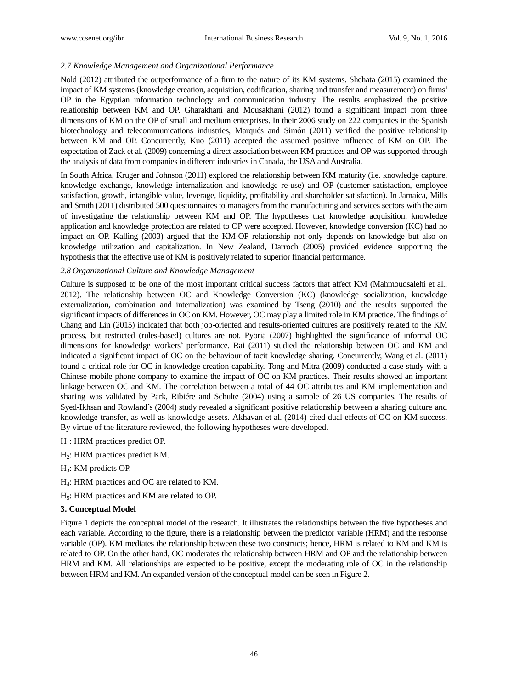# *2.7 Knowledge Management and Organizational Performance*

Nold (2012) attributed the outperformance of a firm to the nature of its KM systems. Shehata (2015) examined the impact of KM systems (knowledge creation, acquisition, codification, sharing and transfer and measurement) on firms' OP in the Egyptian information technology and communication industry. The results emphasized the positive relationship between KM and OP. Gharakhani and Mousakhani (2012) found a significant impact from three dimensions of KM on the OP of small and medium enterprises. In their 2006 study on 222 companies in the Spanish biotechnology and telecommunications industries, Marqués and Simón (2011) verified the positive relationship between KM and OP. Concurrently, Kuo (2011) accepted the assumed positive influence of KM on OP. The expectation of Zack et al. (2009) concerning a direct association between KM practices and OP was supported through the analysis of data from companies in different industries in Canada, the USA and Australia.

In South Africa, Kruger and Johnson (2011) explored the relationship between KM maturity (i.e. knowledge capture, knowledge exchange, knowledge internalization and knowledge re-use) and OP (customer satisfaction, employee satisfaction, growth, intangible value, leverage, liquidity, profitability and shareholder satisfaction). In Jamaica, Mills and Smith (2011) distributed 500 questionnaires to managers from the manufacturing and services sectors with the aim of investigating the relationship between KM and OP. The hypotheses that knowledge acquisition, knowledge application and knowledge protection are related to OP were accepted. However, knowledge conversion (KC) had no impact on OP. Kalling (2003) argued that the KM-OP relationship not only depends on knowledge but also on knowledge utilization and capitalization. In New Zealand, Darroch (2005) provided evidence supporting the hypothesis that the effective use of KM is positively related to superior financial performance.

# *2.8 Organizational Culture and Knowledge Management*

Culture is supposed to be one of the most important critical success factors that affect KM (Mahmoudsalehi et al., 2012). The relationship between OC and Knowledge Conversion (KC) (knowledge socialization, knowledge externalization, combination and internalization) was examined by Tseng (2010) and the results supported the significant impacts of differences in OC on KM. However, OC may play a limited role in KM practice. The findings of Chang and Lin (2015) indicated that both job-oriented and results-oriented cultures are positively related to the KM process, but restricted (rules-based) cultures are not. Pyöriä (2007) highlighted the significance of informal OC dimensions for knowledge workers' performance. Rai (2011) studied the relationship between OC and KM and indicated a significant impact of OC on the behaviour of tacit knowledge sharing. Concurrently, Wang et al. (2011) found a critical role for OC in knowledge creation capability. Tong and Mitra (2009) conducted a case study with a Chinese mobile phone company to examine the impact of OC on KM practices. Their results showed an important linkage between OC and KM. The correlation between a total of 44 OC attributes and KM implementation and sharing was validated by Park, Ribiére and Schulte (2004) using a sample of 26 US companies. The results of Syed-Ikhsan and Rowland's (2004) study revealed a significant positive relationship between a sharing culture and knowledge transfer, as well as knowledge assets. Akhavan et al. (2014) cited dual effects of OC on KM success. By virtue of the literature reviewed, the following hypotheses were developed.

- $H_1$ : HRM practices predict OP.
- H2: HRM practices predict KM.
- H3: KM predicts OP.
- H4: HRM practices and OC are related to KM.
- H5: HRM practices and KM are related to OP.

# **3. Conceptual Model**

Figure 1 depicts the conceptual model of the research. It illustrates the relationships between the five hypotheses and each variable. According to the figure, there is a relationship between the predictor variable (HRM) and the response variable (OP). KM mediates the relationship between these two constructs; hence, HRM is related to KM and KM is related to OP. On the other hand, OC moderates the relationship between HRM and OP and the relationship between HRM and KM. All relationships are expected to be positive, except the moderating role of OC in the relationship between HRM and KM. An expanded version of the conceptual model can be seen in Figure 2.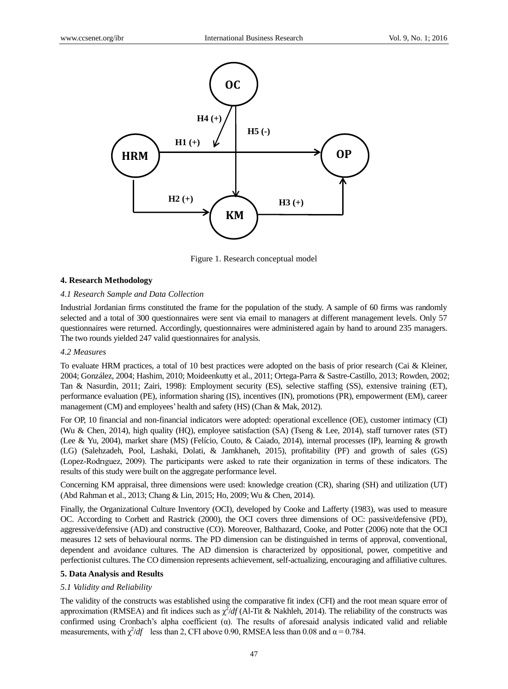

Figure 1. Research conceptual model

## **4. Research Methodology**

#### *4.1 Research Sample and Data Collection*

Industrial Jordanian firms constituted the frame for the population of the study. A sample of 60 firms was randomly selected and a total of 300 questionnaires were sent via email to managers at different management levels. Only 57 questionnaires were returned. Accordingly, questionnaires were administered again by hand to around 235 managers. The two rounds yielded 247 valid questionnaires for analysis.

#### *4.2 Measures*

To evaluate HRM practices, a total of 10 best practices were adopted on the basis of prior research (Cai & Kleiner, 2004; González, 2004; Hashim, 2010; Moideenkutty et al., 2011; Ortega-Parra & Sastre-Castillo, 2013; Rowden, 2002; Tan & Nasurdin, 2011; Zairi, 1998): Employment security (ES), selective staffing (SS), extensive training (ET), performance evaluation (PE), information sharing (IS), incentives (IN), promotions (PR), empowerment (EM), career management (CM) and employees' health and safety (HS) (Chan & Mak, 2012).

For OP, 10 financial and non-financial indicators were adopted: operational excellence (OE), customer intimacy (CI) (Wu & Chen, 2014), high quality (HQ), employee satisfaction (SA) (Tseng & Lee, 2014), staff turnover rates (ST) (Lee & Yu, 2004), market share (MS) (Felício, Couto, & Caiado, 2014), internal processes (IP), learning & growth (LG) (Salehzadeh, Pool, Lashaki, Dolati, & Jamkhaneh, 2015), profitability (PF) and growth of sales (GS) (Lopez-Rodrıguez, 2009). The participants were asked to rate their organization in terms of these indicators. The results of this study were built on the aggregate performance level.

Concerning KM appraisal, three dimensions were used: knowledge creation (CR), sharing (SH) and utilization (UT) (Abd Rahman et al., 2013; Chang & Lin, 2015; Ho, 2009; Wu & Chen, 2014).

Finally, the Organizational Culture Inventory (OCI), developed by Cooke and Lafferty (1983), was used to measure OC. According to Corbett and Rastrick (2000), the OCI covers three dimensions of OC: passive/defensive (PD), aggressive/defensive (AD) and constructive (CO). Moreover, Balthazard, Cooke, and Potter (2006) note that the OCI measures 12 sets of behavioural norms. The PD dimension can be distinguished in terms of approval, conventional, dependent and avoidance cultures. The AD dimension is characterized by oppositional, power, competitive and perfectionist cultures. The CO dimension represents achievement, self-actualizing, encouraging and affiliative cultures.

#### **5. Data Analysis and Results**

#### *5.1 Validity and Reliability*

The validity of the constructs was established using the comparative fit index (CFI) and the root mean square error of approximation (RMSEA) and fit indices such as  $\chi^2/df$  (Al-Tit & Nakhleh, 2014). The reliability of the constructs was confirmed using Cronbach's alpha coefficient  $(\alpha)$ . The results of aforesaid analysis indicated valid and reliable measurements, with  $\chi^2/df$  less than 2, CFI above 0.90, RMSEA less than 0.08 and  $\alpha = 0.784$ .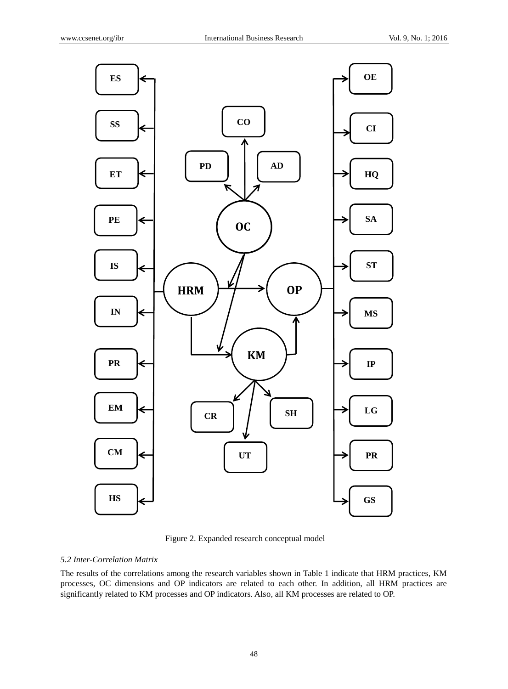

Figure 2. Expanded research conceptual model

# *5.2 Inter-Correlation Matrix*

The results of the correlations among the research variables shown in Table 1 indicate that HRM practices, KM processes, OC dimensions and OP indicators are related to each other. In addition, all HRM practices are significantly related to KM processes and OP indicators. Also, all KM processes are related to OP.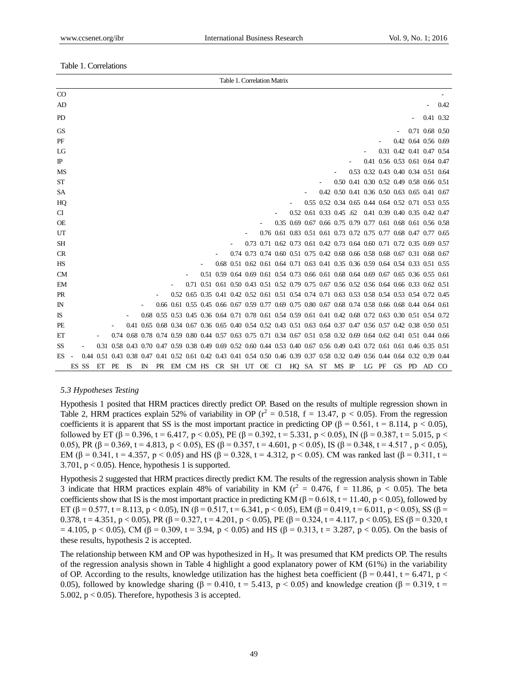### Table 1. Correlations

|             |       |    |    |    |             |  |                                                                                                                              |  |  | Table 1. Correlation Matrix |  |                                                                                           |       |       |                                         |                          |      |
|-------------|-------|----|----|----|-------------|--|------------------------------------------------------------------------------------------------------------------------------|--|--|-----------------------------|--|-------------------------------------------------------------------------------------------|-------|-------|-----------------------------------------|--------------------------|------|
| $\rm CO$    |       |    |    |    |             |  |                                                                                                                              |  |  |                             |  |                                                                                           |       |       |                                         |                          |      |
| AD          |       |    |    |    |             |  |                                                                                                                              |  |  |                             |  |                                                                                           |       |       |                                         | $\overline{\phantom{a}}$ | 0.42 |
| PD          |       |    |    |    |             |  |                                                                                                                              |  |  |                             |  |                                                                                           |       |       |                                         | 0.41 0.32                |      |
| <b>GS</b>   |       |    |    |    |             |  |                                                                                                                              |  |  |                             |  |                                                                                           |       |       |                                         | 0.71 0.68 0.50           |      |
| PF          |       |    |    |    |             |  |                                                                                                                              |  |  |                             |  |                                                                                           |       |       | 0.42 0.64 0.56 0.69                     |                          |      |
| LG          |       |    |    |    |             |  |                                                                                                                              |  |  |                             |  |                                                                                           |       |       | 0.31 0.42 0.41 0.47 0.54                |                          |      |
| $_{\rm IP}$ |       |    |    |    |             |  |                                                                                                                              |  |  |                             |  |                                                                                           |       |       | 0.41 0.56 0.53 0.61 0.64 0.47           |                          |      |
| <b>MS</b>   |       |    |    |    |             |  |                                                                                                                              |  |  |                             |  |                                                                                           |       |       | 0.53 0.32 0.43 0.40 0.34 0.51 0.64      |                          |      |
| <b>ST</b>   |       |    |    |    |             |  |                                                                                                                              |  |  |                             |  |                                                                                           |       |       | 0.50 0.41 0.30 0.52 0.49 0.58 0.66 0.51 |                          |      |
| SA          |       |    |    |    |             |  |                                                                                                                              |  |  |                             |  | 0.42 0.50 0.41 0.36 0.50 0.63 0.65 0.41 0.67                                              |       |       |                                         |                          |      |
| HQ          |       |    |    |    |             |  |                                                                                                                              |  |  |                             |  | 0.55 0.52 0.34 0.65 0.44 0.64 0.52 0.71 0.53 0.55                                         |       |       |                                         |                          |      |
| CI          |       |    |    |    |             |  |                                                                                                                              |  |  |                             |  | 0.52 0.61 0.33 0.45 .62 0.41 0.39 0.40 0.35 0.42 0.47                                     |       |       |                                         |                          |      |
| <b>OE</b>   |       |    |    |    |             |  |                                                                                                                              |  |  |                             |  | 0.35 0.69 0.67 0.66 0.75 0.79 0.77 0.61 0.68 0.61 0.56 0.58                               |       |       |                                         |                          |      |
| UT          |       |    |    |    |             |  |                                                                                                                              |  |  |                             |  | 0.76 0.61 0.83 0.51 0.61 0.73 0.72 0.75 0.77 0.68 0.47 0.77 0.65                          |       |       |                                         |                          |      |
| <b>SH</b>   |       |    |    |    |             |  |                                                                                                                              |  |  |                             |  | 0.73 0.71 0.62 0.73 0.61 0.42 0.73 0.64 0.60 0.71 0.72 0.35 0.69 0.57                     |       |       |                                         |                          |      |
| <b>CR</b>   |       |    |    |    |             |  |                                                                                                                              |  |  |                             |  | 0.74 0.73 0.74 0.60 0.51 0.75 0.42 0.68 0.66 0.58 0.68 0.67 0.31 0.68 0.67                |       |       |                                         |                          |      |
| HS          |       |    |    |    |             |  |                                                                                                                              |  |  |                             |  | 0.68 0.51 0.62 0.61 0.64 0.71 0.63 0.41 0.35 0.36 0.59 0.64 0.54 0.33 0.51 0.55           |       |       |                                         |                          |      |
| <b>CM</b>   |       |    |    |    |             |  |                                                                                                                              |  |  |                             |  | 0.51 0.59 0.64 0.69 0.61 0.54 0.73 0.66 0.61 0.68 0.64 0.69 0.67 0.65 0.36 0.55 0.61      |       |       |                                         |                          |      |
| EM          |       |    |    |    |             |  |                                                                                                                              |  |  |                             |  | 0.71 0.51 0.61 0.50 0.43 0.51 0.52 0.79 0.75 0.67 0.56 0.52 0.56 0.64 0.66 0.33 0.62 0.51 |       |       |                                         |                          |      |
| PR          |       |    |    |    |             |  | 0.52 0.65 0.35 0.41 0.42 0.52 0.61 0.51 0.54 0.74 0.71 0.63 0.53 0.58 0.54 0.53 0.54 0.72 0.45                               |  |  |                             |  |                                                                                           |       |       |                                         |                          |      |
| $_{\rm IN}$ |       |    |    |    |             |  | 0.66 0.61 0.55 0.45 0.66 0.67 0.59 0.77 0.69 0.75 0.80 0.67 0.68 0.74 0.58 0.66 0.68 0.44 0.64 0.61                          |  |  |                             |  |                                                                                           |       |       |                                         |                          |      |
| IS          |       |    |    |    |             |  | 0.68 0.55 0.53 0.45 0.36 0.64 0.71 0.78 0.61 0.54 0.59 0.61 0.41 0.42 0.68 0.72 0.63 0.30 0.51 0.54 0.72                     |  |  |                             |  |                                                                                           |       |       |                                         |                          |      |
| <b>PE</b>   |       |    |    |    |             |  | 0.41 0.65 0.68 0.34 0.67 0.36 0.65 0.40 0.54 0.52 0.43 0.51 0.63 0.64 0.37 0.47 0.56 0.57 0.42 0.38 0.50 0.51                |  |  |                             |  |                                                                                           |       |       |                                         |                          |      |
| ET          |       |    |    |    |             |  | 0.74 0.68 0.78 0.74 0.59 0.80 0.44 0.57 0.63 0.75 0.71 0.34 0.67 0.51 0.58 0.32 0.69 0.64 0.62 0.41 0.51 0.44 0.66           |  |  |                             |  |                                                                                           |       |       |                                         |                          |      |
| SS          |       |    |    |    |             |  | 0.31 0.58 0.43 0.70 0.47 0.59 0.38 0.49 0.69 0.52 0.60 0.44 0.53 0.40 0.67 0.56 0.49 0.43 0.72 0.61 0.61 0.46 0.35 0.51      |  |  |                             |  |                                                                                           |       |       |                                         |                          |      |
| <b>ES</b>   |       |    |    |    |             |  | 0.44 0.51 0.43 0.38 0.47 0.41 0.52 0.61 0.42 0.43 0.41 0.54 0.50 0.46 0.39 0.37 0.58 0.32 0.49 0.56 0.44 0.64 0.32 0.39 0.44 |  |  |                             |  |                                                                                           |       |       |                                         |                          |      |
|             | ES SS | ET | PE | IS | $_{\rm IN}$ |  | PR EM CM HS CR SH UT OE CI HQ SA ST MS IP                                                                                    |  |  |                             |  |                                                                                           | LG PF | GS PD |                                         | AD CO                    |      |

## *5.3 Hypotheses Testing*

Hypothesis 1 posited that HRM practices directly predict OP. Based on the results of multiple regression shown in Table 2, HRM practices explain 52% of variability in OP ( $r^2 = 0.518$ ,  $f = 13.47$ ,  $p < 0.05$ ). From the regression coefficients it is apparent that SS is the most important practice in predicting OP ( $\beta = 0.561$ ,  $t = 8.114$ ,  $p < 0.05$ ), followed by ET ( $\beta$  = 0.396, t = 6.417, p < 0.05), PE ( $\beta$  = 0.392, t = 5.331, p < 0.05), IN ( $\beta$  = 0.387, t = 5.015, p < 0.05), PR  $(\beta = 0.369, t = 4.813, p < 0.05)$ , ES  $(\beta = 0.357, t = 4.601, p < 0.05)$ , IS  $(\beta = 0.348, t = 4.517, p < 0.05)$ , EM ( $\beta$  = 0.341, t = 4.357, p < 0.05) and HS ( $\beta$  = 0.328, t = 4.312, p < 0.05). CM was ranked last ( $\beta$  = 0.311, t = 3.701,  $p < 0.05$ ). Hence, hypothesis 1 is supported.

Hypothesis 2 suggested that HRM practices directly predict KM. The results of the regression analysis shown in Table 3 indicate that HRM practices explain 48% of variability in KM ( $r^2 = 0.476$ , f = 11.86, p < 0.05). The beta coefficients show that IS is the most important practice in predicting KM ( $\beta$  = 0.618, t = 11.40, p < 0.05), followed by ET (β = 0.577, t = 8.113, p < 0.05), IN (β = 0.517, t = 6.341, p < 0.05), EM (β = 0.419, t = 6.011, p < 0.05), SS (β = 0.378, t = 4.351, p < 0.05), PR (β = 0.327, t = 4.201, p < 0.05), PE (β = 0.324, t = 4.117, p < 0.05), ES (β = 0.320, t  $= 4.105$ , p < 0.05), CM (β = 0.309, t = 3.94, p < 0.05) and HS (β = 0.313, t = 3.287, p < 0.05). On the basis of these results, hypothesis 2 is accepted.

The relationship between KM and OP was hypothesized in  $H_3$ . It was presumed that KM predicts OP. The results of the regression analysis shown in Table 4 highlight a good explanatory power of KM (61%) in the variability of OP. According to the results, knowledge utilization has the highest beta coefficient ( $\beta$  = 0.441, t = 6.471, p < 0.05), followed by knowledge sharing ( $\beta = 0.410$ , t = 5.413, p < 0.05) and knowledge creation ( $\beta = 0.319$ , t = 5.002,  $p < 0.05$ ). Therefore, hypothesis 3 is accepted.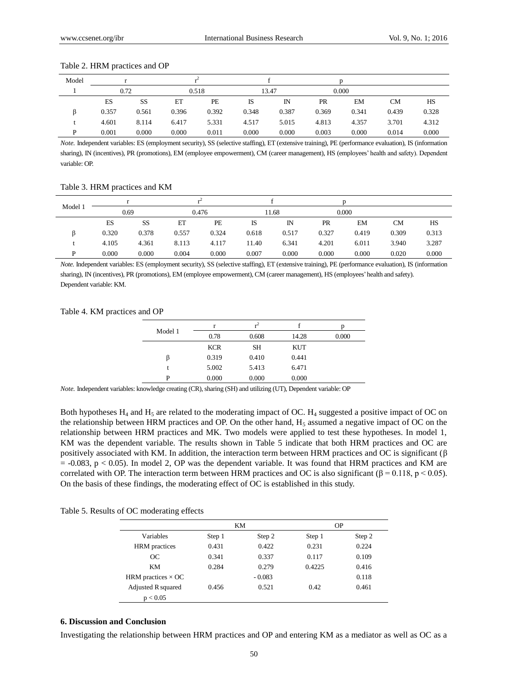|  |  | Table 2. HRM practices and OP |  |  |
|--|--|-------------------------------|--|--|
|--|--|-------------------------------|--|--|

| Model |       |       |       |       |       |       |           |       |           |       |
|-------|-------|-------|-------|-------|-------|-------|-----------|-------|-----------|-------|
|       | 0.72  |       | 0.518 |       | 13.47 |       |           | 0.000 |           |       |
|       | ES    | SS    | ET    | PE    | IS    | IN    | <b>PR</b> | EM    | <b>CM</b> | HS    |
|       | 0.357 | 0.561 | 0.396 | 0.392 | 0.348 | 0.387 | 0.369     | 0.341 | 0.439     | 0.328 |
|       | 4.601 | 8.114 | 6.417 | 5.331 | 4.517 | 5.015 | 4.813     | 4.357 | 3.701     | 4.312 |
| D     | 0.001 | 0.000 | 0.000 | 0.011 | 0.000 | 0.000 | 0.003     | 0.000 | 0.014     | 0.000 |

*Note.* Independent variables: ES (employment security), SS (selective staffing), ET (extensive training), PE (performance evaluation), IS (information sharing), IN (incentives), PR (promotions), EM (employee empowerment), CM (career management), HS (employees' health and safety). Dependent variable: OP.

Table 3. HRM practices and KM

| Model 1 |       |           |       |       |       |             |       |       |       |       |
|---------|-------|-----------|-------|-------|-------|-------------|-------|-------|-------|-------|
|         | 0.69  |           | 0.476 |       | 11.68 |             | 0.000 |       |       |       |
|         | ES    | SS        | ET    | PE    | IS    | $_{\rm IN}$ | PR    | EM    | CМ    | HS    |
|         | 0.320 | 0.378     | 0.557 | 0.324 | 0.618 | 0.517       | 0.327 | 0.419 | 0.309 | 0.313 |
|         | 4.105 | 4.361     | 8.113 | 4.117 | 11.40 | 6.341       | 4.201 | 6.011 | 3.940 | 3.287 |
| D       | 0.000 | $0.000\,$ | 0.004 | 0.000 | 0.007 | 0.000       | 0.000 | 0.000 | 0.020 | 0.000 |

*Note.* Independent variables: ES (employment security), SS (selective staffing), ET (extensive training), PE (performance evaluation), IS (information sharing), IN (incentives), PR (promotions), EM (employee empowerment), CM (career management), HS (employees'health and safety). Dependent variable: KM.

#### Table 4. KM practices and OP

|         | r          | $r^2$     |            | n     |
|---------|------------|-----------|------------|-------|
| Model 1 | 0.78       | 0.608     | 14.28      | 0.000 |
|         | <b>KCR</b> | <b>SH</b> | <b>KUT</b> |       |
| ß       | 0.319      | 0.410     | 0.441      |       |
|         | 5.002      | 5.413     | 6.471      |       |
| P       | 0.000      | 0.000     | 0.000      |       |

*Note.* Independent variables: knowledge creating (CR), sharing (SH) and utilizing (UT), Dependent variable: OP

Both hypotheses  $H_4$  and  $H_5$  are related to the moderating impact of OC.  $H_4$  suggested a positive impact of OC on the relationship between HRM practices and OP. On the other hand,  $H_5$  assumed a negative impact of OC on the relationship between HRM practices and MK. Two models were applied to test these hypotheses. In model 1, KM was the dependent variable. The results shown in Table 5 indicate that both HRM practices and OC are positively associated with KM. In addition, the interaction term between HRM practices and OC is significant (β  $= -0.083$ ,  $p < 0.05$ ). In model 2, OP was the dependent variable. It was found that HRM practices and KM are correlated with OP. The interaction term between HRM practices and OC is also significant ( $\beta = 0.118$ , p < 0.05). On the basis of these findings, the moderating effect of OC is established in this study.

Table 5. Results of OC moderating effects

|                           |        | KM       | <b>OP</b> |        |  |  |  |
|---------------------------|--------|----------|-----------|--------|--|--|--|
| Variables                 | Step 1 | Step 2   | Step 1    | Step 2 |  |  |  |
| <b>HRM</b> practices      | 0.431  | 0.422    | 0.231     | 0.224  |  |  |  |
| OC                        | 0.341  | 0.337    | 0.117     | 0.109  |  |  |  |
| KM                        | 0.284  | 0.279    | 0.4225    | 0.416  |  |  |  |
| HRM practices $\times$ OC |        | $-0.083$ |           | 0.118  |  |  |  |
| Adjusted R squared        | 0.456  | 0.521    | 0.42      | 0.461  |  |  |  |
| p < 0.05                  |        |          |           |        |  |  |  |

## **6. Discussion and Conclusion**

Investigating the relationship between HRM practices and OP and entering KM as a mediator as well as OC as a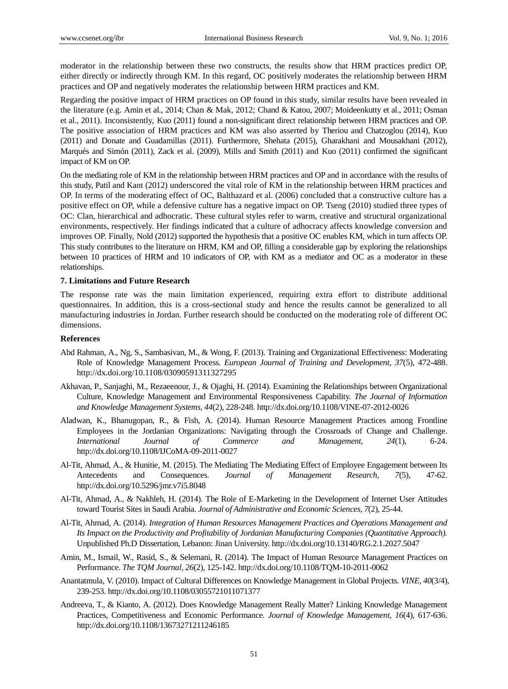moderator in the relationship between these two constructs, the results show that HRM practices predict OP, either directly or indirectly through KM. In this regard, OC positively moderates the relationship between HRM practices and OP and negatively moderates the relationship between HRM practices and KM.

Regarding the positive impact of HRM practices on OP found in this study, similar results have been revealed in the literature (e.g. Amin et al., 2014; Chan & Mak, 2012; Chand & Katou, 2007; Moideenkutty et al., 2011; Osman et al., 2011). Inconsistently, Kuo (2011) found a non-significant direct relationship between HRM practices and OP. The positive association of HRM practices and KM was also asserted by Theriou and Chatzoglou (2014), Kuo (2011) and Donate and Guadamillas (2011). Furthermore, Shehata (2015), Gharakhani and Mousakhani (2012), Marqués and Simón (2011), Zack et al. (2009), Mills and Smith (2011) and Kuo (2011) confirmed the significant impact of KM on OP.

On the mediating role of KM in the relationship between HRM practices and OP and in accordance with the results of this study, Patil and Kant (2012) underscored the vital role of KM in the relationship between HRM practices and OP. In terms of the moderating effect of OC, Balthazard et al. (2006) concluded that a constructive culture has a positive effect on OP, while a defensive culture has a negative impact on OP. Tseng (2010) studied three types of OC: Clan, hierarchical and adhocratic. These cultural styles refer to warm, creative and structural organizational environments, respectively. Her findings indicated that a culture of adhocracy affects knowledge conversion and improves OP. Finally, Nold (2012) supported the hypothesis that a positive OC enables KM, which in turn affects OP. This study contributes to the literature on HRM, KM and OP, filling a considerable gap by exploring the relationships between 10 practices of HRM and 10 indicators of OP, with KM as a mediator and OC as a moderator in these relationships.

## **7. Limitations and Future Research**

The response rate was the main limitation experienced, requiring extra effort to distribute additional questionnaires. In addition, this is a cross-sectional study and hence the results cannot be generalized to all manufacturing industries in Jordan. Further research should be conducted on the moderating role of different OC dimensions.

## **References**

- Abd Rahman, A., Ng, S., Sambasivan, M., & Wong, F. (2013). Training and Organizational Effectiveness: Moderating Role of Knowledge Management Process. *European Journal of Training and Development, 37*(5), 472-488. <http://dx.doi.org/10.1108/03090591311327295>
- Akhavan, P., Sanjaghi, M., Rezaeenour, J., & Ojaghi, H. (2014). Examining the Relationships between Organizational Culture, Knowledge Management and Environmental Responsiveness Capability. *The Journal of Information and Knowledge Management Systems, 44*(2), 228-248. http://dx.doi.org/10.1108/VINE-07-2012-0026
- Aladwan, K., Bhanugopan, R., & Fish, A. (2014). Human Resource Management Practices among Frontline Employees in the Jordanian Organizations: Navigating through the Crossroads of Change and Challenge. *International Journal of Commerce and Management, 24*(1), 6-24. http://dx.doi.org/10.1108/IJCoMA-09-2011-0027
- Al-Tit, Ahmad, A., & Hunitie, M. (2015). The Mediating The Mediating Effect of Employee Engagement between Its Antecedents and Consequences. *Journal of Management Research, 7*(5), 47-62. http://dx.doi.org/10.5296/jmr.v7i5.8048
- Al-Tit, Ahmad, A., & Nakhleh, H. (2014). The Role of E-Marketing in the Development of Internet User Attitudes toward Tourist Sites in Saudi Arabia. *Journal of Administrative and Economic Sciences, 7*(2), 25-44.
- Al-Tit, Ahmad, A. (2014). *Integration of Human Resources Management Practices and Operations Management and Its Impact on the Productivity and Profitability of Jordanian Manufacturing Companies (Quantitative Approach).* Unpublished Ph.D Dissertation, Lebanon: Jinan University. http://dx.doi.org/10.13140/RG.2.1.2027.5047
- Amin, M., Ismail, W., Rasid, S., & Selemani, R. (2014). The Impact of Human Resource Management Practices on Performance. *The TQM Journal, 26*(2), 125-142. http://dx.doi.org/10.1108/TQM-10-2011-0062
- Anantatmula, V. (2010). Impact of Cultural Differences on Knowledge Management in Global Projects. *VINE, 40*(3/4), 239-253. http://dx.doi.org/10.1108/03055721011071377
- Andreeva, T., & Kianto, A. (2012). Does Knowledge Management Really Matter? Linking Knowledge Management Practices, Competitiveness and Economic Performance. *Journal of Knowledge Management, 16*(4), 617-636. http://dx.doi.org/10.1108/13673271211246185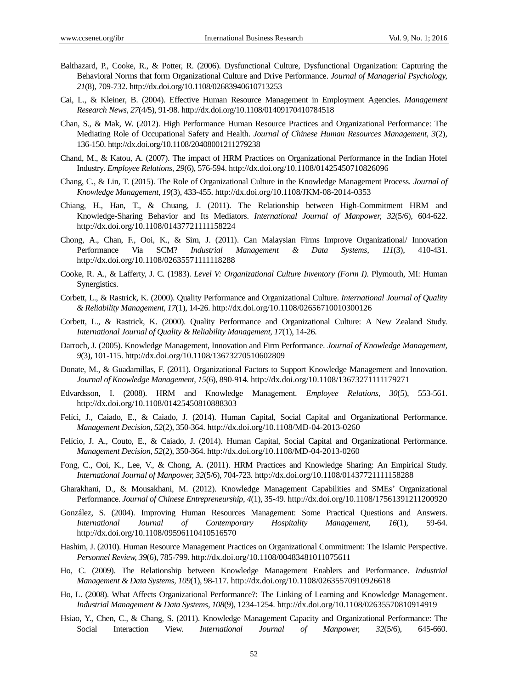- Balthazard, P., Cooke, R., & Potter, R. (2006). Dysfunctional Culture, Dysfunctional Organization: Capturing the Behavioral Norms that form Organizational Culture and Drive Performance. *Journal of Managerial Psychology, 21*(8), 709-732. http://dx.doi.org/10.1108/02683940610713253
- Cai, L., & Kleiner, B. (2004). Effective Human Resource Management in Employment Agencies. *Management Research News, 27*(4/5), 91-98. http://dx.doi.org/10.1108/01409170410784518
- Chan, S., & Mak, W. (2012). High Performance Human Resource Practices and Organizational Performance: The Mediating Role of Occupational Safety and Health. *Journal of Chinese Human Resources Management, 3*(2), 136-150. http://dx.doi.org/10.1108/20408001211279238
- Chand, M., & Katou, A. (2007). The impact of HRM Practices on Organizational Performance in the Indian Hotel Industry. *Employee Relations, 29*(6), 576-594[. http://dx.doi.org/10.1108/01425450710826096](http://dx.doi.org/10.1108/01425450710826096)
- Chang, C., & Lin, T. (2015). The Role of Organizational Culture in the Knowledge Management Process. *Journal of Knowledge Management, 19*(3), 433-455. <http://dx.doi.org/10.1108/JKM-08-2014-0353>
- Chiang, H., Han, T., & Chuang, J. (2011). The Relationship between High-Commitment HRM and Knowledge-Sharing Behavior and Its Mediators. *International Journal of Manpower, 32*(5/6), 604-622. <http://dx.doi.org/10.1108/01437721111158224>
- Chong, A., Chan, F., Ooi, K., & Sim, J. (2011). Can Malaysian Firms Improve Organizational/ Innovation Performance Via SCM? *Industrial Management & Data Systems, 111*(3), 410-431. <http://dx.doi.org/10.1108/02635571111118288>
- Cooke, R. A., & Lafferty, J. C. (1983). *Level V: Organizational Culture Inventory (Form I)*. Plymouth, MI: Human Synergistics.
- Corbett, L., & Rastrick, K. (2000). Quality Performance and Organizational Culture. *International Journal of Quality & Reliability Management, 17*(1), 14-26[. http://dx.doi.org/10.1108/02656710010300126](http://dx.doi.org/10.1108/02656710010300126)
- Corbett, L., & Rastrick, K. (2000). Quality Performance and Organizational Culture: A New Zealand Study. *International Journal of Quality & Reliability Management, 17*(1), 14-26.
- Darroch, J. (2005). Knowledge Management, Innovation and Firm Performance. *Journal of Knowledge Management, 9*(3), 101-115[. http://dx.doi.org/10.1108/13673270510602809](http://dx.doi.org/10.1108/13673270510602809)
- Donate, M., & Guadamillas, F. (2011). Organizational Factors to Support Knowledge Management and Innovation. *Journal of Knowledge Management, 15*(6), 890-914. <http://dx.doi.org/10.1108/13673271111179271>
- Edvardsson, I. (2008). HRM and Knowledge Management. *Employee Relations, 30*(5), 553-561. <http://dx.doi.org/10.1108/01425450810888303>
- Felíci, J., Caiado, E., & Caiado, J. (2014). Human Capital, Social Capital and Organizational Performance. *Management Decision, 52*(2), 350-364.<http://dx.doi.org/10.1108/MD-04-2013-0260>
- Felício, J. A., Couto, E., & Caiado, J. (2014). Human Capital, Social Capital and Organizational Performance. *Management Decision, 52*(2), 350-364.<http://dx.doi.org/10.1108/MD-04-2013-0260>
- Fong, C., Ooi, K., Lee, V., & Chong, A. (2011). HRM Practices and Knowledge Sharing: An Empirical Study. *International Journal of Manpower, 32*(5/6), 704-723. <http://dx.doi.org/10.1108/01437721111158288>
- Gharakhani, D., & Mousakhani, M. (2012). Knowledge Management Capabilities and SMEs' Organizational Performance. *Journal of Chinese Entrepreneurship, 4*(1), 35-49. <http://dx.doi.org/10.1108/17561391211200920>
- González, S. (2004). Improving Human Resources Management: Some Practical Questions and Answers. *International Journal of Contemporary Hospitality Management, 16*(1), 59-64. <http://dx.doi.org/10.1108/09596110410516570>
- Hashim, J. (2010). Human Resource Management Practices on Organizational Commitment: The Islamic Perspective. *Personnel Review, 39*(6), 785-799[. http://dx.doi.org/10.1108/00483481011075611](http://dx.doi.org/10.1108/00483481011075611)
- Ho, C. (2009). The Relationship between Knowledge Management Enablers and Performance. *Industrial Management & Data Systems, 109*(1), 98-117[. http://dx.doi.org/10.1108/02635570910926618](http://dx.doi.org/10.1108/02635570910926618)
- Ho, L. (2008). What Affects Organizational Performance?: The Linking of Learning and Knowledge Management. *Industrial Management & Data Systems, 108*(9), 1234-1254.<http://dx.doi.org/10.1108/02635570810914919>
- Hsiao, Y., Chen, C., & Chang, S. (2011). Knowledge Management Capacity and Organizational Performance: The Social Interaction View. *International Journal of Manpower, 32*(5/6), 645-660.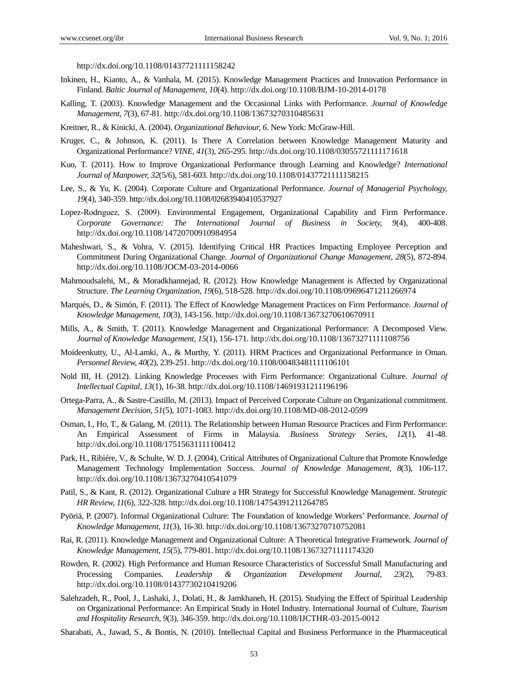<http://dx.doi.org/10.1108/01437721111158242>

- Inkinen, H., Kianto, A., & Vanhala, M. (2015). Knowledge Management Practices and Innovation Performance in Finland. *Baltic Journal of Management, 10*(4)[. http://dx.doi.org/10.1108/BJM-10-2014-0178](http://dx.doi.org/10.1108/BJM-10-2014-0178)
- Kalling, T. (2003). Knowledge Management and the Occasional Links with Performance. *Journal of Knowledge Management, 7*(3), 67-81[. http://dx.doi.org/10.1108/13673270310485631](http://dx.doi.org/10.1108/13673270310485631)
- Kreitner, R., & Kinicki, A. (2004). *Organizational Behaviour, 6*. New York: McGraw-Hill.
- Kruger, C., & Johnson, K. (2011). Is There A Correlation between Knowledge Management Maturity and Organizational Performance? *VINE, 41*(3), 265-295.<http://dx.doi.org/10.1108/03055721111171618>
- Kuo, T. (2011). How to Improve Organizational Performance through Learning and Knowledge? *International Journal of Manpower, 32*(5/6), 581-603.<http://dx.doi.org/10.1108/01437721111158215>
- Lee, S., & [Yu,](http://www.emeraldinsight.com/action/doSearch?ContribStored=Yu%2C+K) K. (2004). Corporate Culture and Organizational Performance. *Journal of Managerial Psychology, 19*(4), 340-359.<http://dx.doi.org/10.1108/02683940410537927>
- Lopez-Rodrıguez, S. (2009). Environmental Engagement, Organizational Capability and Firm Performance. *Corporate Governance: The International Journal of Business in Society, 9*(4), 400-408. <http://dx.doi.org/10.1108/14720700910984954>
- Maheshwari, S., & Vohra, V. (2015). Identifying Critical HR Practices Impacting Employee Perception and Commitment During Organizational Change. *Journal of Organizational Change Management, 28*(5), 872-894. <http://dx.doi.org/10.1108/JOCM-03-2014-0066>
- Mahmoudsalehi, M., & Moradkhannejad, R. (2012). How Knowledge Management is Affected by Organizational Structure. *The Learning Organization, 19*(6), 518-528. <http://dx.doi.org/10.1108/09696471211266974>
- Marqués, D., & Simón, F. (2011). The Effect of Knowledge Management Practices on Firm Performance. *Journal of Knowledge Management, 10*(3), 143-156.<http://dx.doi.org/10.1108/13673270610670911>
- Mills, A., & Smith, T. (2011). Knowledge Management and Organizational Performance: A Decomposed View. *Journal of Knowledge Management, 15*(1), 156-171.<http://dx.doi.org/10.1108/13673271111108756>
- Moideenkutty, U., Al-Lamki, A., & Murthy, Y. (2011). HRM Practices and Organizational Performance in Oman. *Personnel Review, 40*(2), 239-251. <http://dx.doi.org/10.1108/00483481111106101>
- Nold III, H. (2012). Linking Knowledge Processes with Firm Performance: Organizational Culture. *Journal of Intellectual Capital, 13*(1), 16-38.<http://dx.doi.org/10.1108/14691931211196196>
- Ortega-Parra, A., & Sastre-Castillo, M. (2013). Impact of Perceived Corporate Culture on Organizational commitment. *Management Decision, 51*(5), 1071-1083[. http://dx.doi.org/10.1108/MD-08-2012-0599](http://dx.doi.org/10.1108/MD-08-2012-0599)
- Osman, I., Ho, T., & Galang, M. (2011). The Relationship between Human Resource Practices and Firm Performance: An Empirical Assessment of Firms in Malaysia. *Business Strategy Series, 12*(1), 41-48. <http://dx.doi.org/10.1108/17515631111100412>
- Park, H., Ribiére, V., & Schulte, W. D. J. (2004), Critical Attributes of Organizational Culture that Promote Knowledge Management Technology Implementation Success. *Journal of Knowledge Management, 8*(3), 106-117. <http://dx.doi.org/10.1108/13673270410541079>
- Patil, S., & Kant, R. (2012). Organizational Culture a HR Strategy for Successful Knowledge Management. *Strategic HR Review, 11*(6), 322-328.<http://dx.doi.org/10.1108/14754391211264785>
- Pyöriä, P. (2007). Informal Organizational Culture: The Foundation of knowledge Workers' Performance. *Journal of Knowledge Management, 11*(3), 16-30.<http://dx.doi.org/10.1108/13673270710752081>
- Rai, R. (2011). Knowledge Management and Organizational Culture: A Theoretical Integrative Framework. *Journal of Knowledge Management, 15*(5), 779-801[. http://dx.doi.org/10.1108/13673271111174320](http://dx.doi.org/10.1108/13673271111174320)
- Rowden, R. (2002). High Performance and Human Resource Characteristics of Successful Small Manufacturing and Processing Companies. *Leadership & Organization Development Journal, 23*(2), 79-83. <http://dx.doi.org/10.1108/01437730210419206>
- Salehzadeh, R., Pool, J., Lashaki, J., Dolati, H., & Jamkhaneh, H. (2015). Studying the Effect of Spiritual Leadership on Organizational Performance: An Empirical Study in Hotel Industry. International Journal of Culture, *Tourism and Hospitality Research, 9*(3), 346-359. <http://dx.doi.org/10.1108/IJCTHR-03-2015-0012>
- Sharabati, A., Jawad, S., & Bontis, N. (2010). Intellectual Capital and Business Performance in the Pharmaceutical